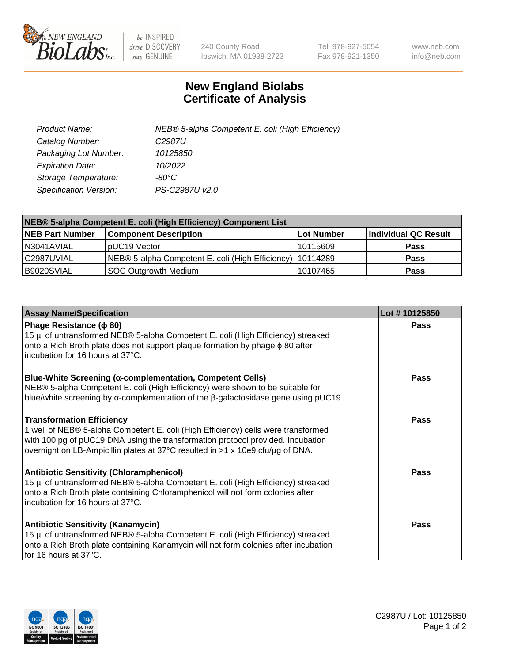

 $be$  INSPIRED drive DISCOVERY stay GENUINE

240 County Road Ipswich, MA 01938-2723 Tel 978-927-5054 Fax 978-921-1350 www.neb.com info@neb.com

## **New England Biolabs Certificate of Analysis**

| Product Name:           | NEB® 5-alpha Competent E. coli (High Efficiency) |
|-------------------------|--------------------------------------------------|
| Catalog Number:         | C <sub>2987</sub> U                              |
| Packaging Lot Number:   | 10125850                                         |
| <b>Expiration Date:</b> | 10/2022                                          |
| Storage Temperature:    | -80°C                                            |
| Specification Version:  | PS-C2987U v2.0                                   |

| NEB® 5-alpha Competent E. coli (High Efficiency) Component List |                                                             |            |                      |  |
|-----------------------------------------------------------------|-------------------------------------------------------------|------------|----------------------|--|
| <b>NEB Part Number</b>                                          | <b>Component Description</b>                                | Lot Number | Individual QC Result |  |
| N3041AVIAL                                                      | pUC19 Vector                                                | 10115609   | <b>Pass</b>          |  |
| C2987UVIAL                                                      | NEB® 5-alpha Competent E. coli (High Efficiency)   10114289 |            | <b>Pass</b>          |  |
| B9020SVIAL                                                      | SOC Outgrowth Medium                                        | 10107465   | <b>Pass</b>          |  |

| <b>Assay Name/Specification</b>                                                                                                                                                                                                                                                            | Lot #10125850 |
|--------------------------------------------------------------------------------------------------------------------------------------------------------------------------------------------------------------------------------------------------------------------------------------------|---------------|
| Phage Resistance ( $\phi$ 80)<br>15 µl of untransformed NEB® 5-alpha Competent E. coli (High Efficiency) streaked<br>onto a Rich Broth plate does not support plaque formation by phage φ 80 after<br>incubation for 16 hours at 37°C.                                                     | <b>Pass</b>   |
| <b>Blue-White Screening (α-complementation, Competent Cells)</b><br>NEB® 5-alpha Competent E. coli (High Efficiency) were shown to be suitable for<br>blue/white screening by $\alpha$ -complementation of the $\beta$ -galactosidase gene using pUC19.                                    | Pass          |
| <b>Transformation Efficiency</b><br>1 well of NEB® 5-alpha Competent E. coli (High Efficiency) cells were transformed<br>with 100 pg of pUC19 DNA using the transformation protocol provided. Incubation<br>overnight on LB-Ampicillin plates at 37°C resulted in >1 x 10e9 cfu/µg of DNA. | Pass          |
| <b>Antibiotic Sensitivity (Chloramphenicol)</b><br>15 µl of untransformed NEB® 5-alpha Competent E. coli (High Efficiency) streaked<br>onto a Rich Broth plate containing Chloramphenicol will not form colonies after<br>incubation for 16 hours at 37°C.                                 | <b>Pass</b>   |
| <b>Antibiotic Sensitivity (Kanamycin)</b><br>15 µl of untransformed NEB® 5-alpha Competent E. coli (High Efficiency) streaked<br>onto a Rich Broth plate containing Kanamycin will not form colonies after incubation<br>for 16 hours at 37°C.                                             | Pass          |